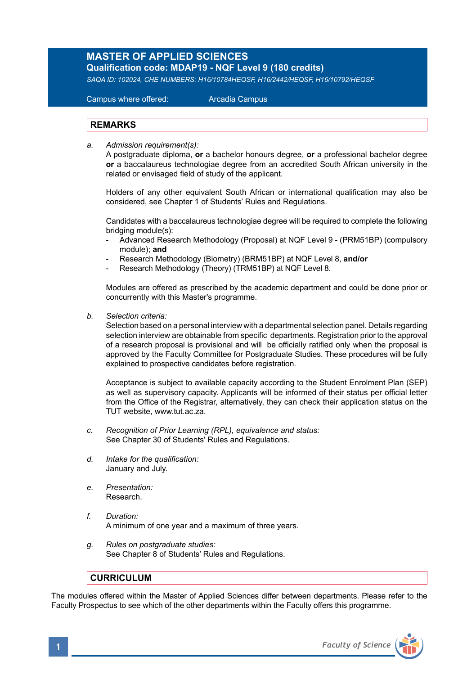## **MASTER OF APPLIED SCIENCES Qualification code: MDAP19 - NQF Level 9 (180 credits)**

*SAQA ID: 102024, CHE NUMBERS: H16/10784HEQSF, H16/2442/HEQSF, H16/10792/HEQSF* 

 Campus where offered: Arcadia Campus

## **REMARKS**

*a. Admission requirement(s):* 

A postgraduate diploma, **or** a bachelor honours degree, **or** a professional bachelor degree **or** a baccalaureus technologiae degree from an accredited South African university in the related or envisaged field of study of the applicant.

 Holders of any other equivalent South African or international qualification may also be considered, see Chapter 1 of Students' Rules and Regulations.

 Candidates with a baccalaureus technologiae degree will be required to complete the following bridging module(s):

- Advanced Research Methodology (Proposal) at NQF Level 9 (PRM51BP) (compulsory module); **and**
- Research Methodology (Biometry) (BRM51BP) at NQF Level 8, **and/or**
- Research Methodology (Theory) (TRM51BP) at NQF Level 8.

Modules are offered as prescribed by the academic department and could be done prior or concurrently with this Master's programme.

*b. Selection criteria:*

Selection based on a personal interview with a departmental selection panel. Details regarding selection interview are obtainable from specific departments. Registration prior to the approval of a research proposal is provisional and will be officially ratified only when the proposal is approved by the Faculty Committee for Postgraduate Studies. These procedures will be fully explained to prospective candidates before registration.

Acceptance is subject to available capacity according to the Student Enrolment Plan (SEP) as well as supervisory capacity. Applicants will be informed of their status per official letter from the Office of the Registrar, alternatively, they can check their application status on the TUT website, www.tut.ac.za.

- *c. Recognition of Prior Learning (RPL), equivalence and status:* See Chapter 30 of Students' Rules and Regulations.
- *d. Intake for the qualification:* January and July.
- *e. Presentation:* Research.
- *f. Duration:*  A minimum of one year and a maximum of three years.
- *g. Rules on postgraduate studies:* See Chapter 8 of Students' Rules and Regulations.

## **CURRICULUM**

The modules offered within the Master of Applied Sciences differ between departments. Please refer to the Faculty Prospectus to see which of the other departments within the Faculty offers this programme.